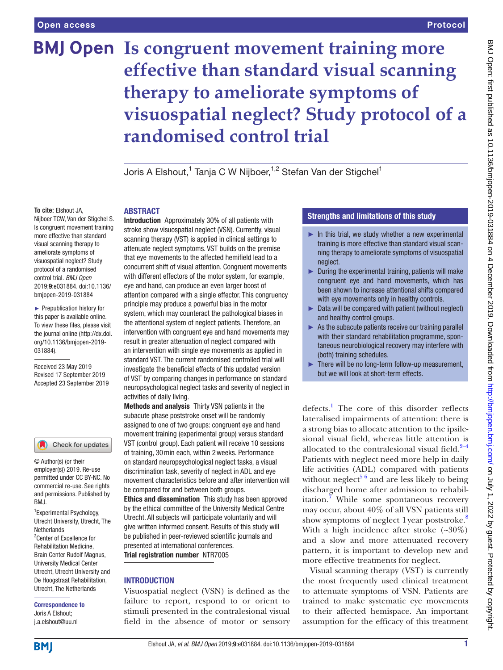# **BMJ Open Is congruent movement training more effective than standard visual scanning therapy to ameliorate symptoms of visuospatial neglect? Study protocol of a randomised control trial**

Joris A Elshout,<sup>1</sup> Tanja C W Nijboer,<sup>1,2</sup> Stefan Van der Stigchel<sup>1</sup>

# **ABSTRACT**

**To cite:** Elshout JA, Nijboer TCW, Van der Stigchel S. Is congruent movement training more effective than standard visual scanning therapy to ameliorate symptoms of visuospatial neglect? Study protocol of a randomised control trial. *BMJ Open* 2019;9:e031884. doi:10.1136/ bmjopen-2019-031884

► Prepublication history for this paper is available online. To view these files, please visit the journal online (http://dx.doi. org/10.1136/bmjopen-2019- 031884).

Received 23 May 2019 Revised 17 September 2019 Accepted 23 September 2019

#### Check for updates

© Author(s) (or their employer(s)) 2019. Re-use permitted under CC BY-NC. No commercial re-use. See rights and permissions. Published by RM<sub>J</sub>

1 Experimental Psychology, Utrecht University, Utrecht, The **Netherlands** <sup>2</sup> Center of Excellence for Rehabilitation Medicine, Brain Center Rudolf Magnus, University Medical Center Utrecht, Utrecht University and De Hoogstraat Rehabilitation, Utrecht, The Netherlands

#### Correspondence to Joris A Elshout; j.a.elshout@uu.nl

Introduction Approximately 30% of all patients with stroke show visuospatial neglect (VSN). Currently, visual scanning therapy (VST) is applied in clinical settings to attenuate neglect symptoms. VST builds on the premise that eye movements to the affected hemifield lead to a concurrent shift of visual attention. Congruent movements with different effectors of the motor system, for example, eye and hand, can produce an even larger boost of attention compared with a single effector. This congruency principle may produce a powerful bias in the motor system, which may counteract the pathological biases in the attentional system of neglect patients. Therefore, an intervention with congruent eye and hand movements may result in greater attenuation of neglect compared with an intervention with single eye movements as applied in standard VST. The current randomised controlled trial will investigate the beneficial effects of this updated version of VST by comparing changes in performance on standard neuropsychological neglect tasks and severity of neglect in activities of daily living.

Methods and analysis Thirty VSN patients in the subacute phase poststroke onset will be randomly assigned to one of two groups: congruent eye and hand movement training (experimental group) versus standard VST (control group). Each patient will receive 10 sessions of training, 30min each, within 2weeks. Performance on standard neuropsychological neglect tasks, a visual discrimination task, severity of neglect in ADL and eye movement characteristics before and after intervention will be compared for and between both groups.

Ethics and dissemination This study has been approved by the ethical committee of the University Medical Centre Utrecht. All subjects will participate voluntarily and will give written informed consent. Results of this study will be published in peer-reviewed scientific journals and presented at international conferences. Trial registration number NTR7005

### **INTRODUCTION**

Visuospatial neglect (VSN) is defined as the failure to report, respond to or orient to stimuli presented in the contralesional visual field in the absence of motor or sensory

## Strengths and limitations of this study

- $\blacktriangleright$  In this trial, we study whether a new experimental training is more effective than standard visual scanning therapy to ameliorate symptoms of visuospatial neglect.
- ► During the experimental training, patients will make congruent eye and hand movements, which has been shown to increase attentional shifts compared with eye movements only in healthy controls.
- ► Data will be compared with patient (without neglect) and healthy control groups.
- $\blacktriangleright$  As the subacute patients receive our training parallel with their standard rehabilitation programme, spontaneous neurobiological recovery may interfere with (both) training schedules.
- ► There will be no long-term follow-up measurement, but we will look at short-term effects.

defects.<sup>1</sup> The core of this disorder reflects lateralised impairments of attention: there is a strong bias to allocate attention to the ipsilesional visual field, whereas little attention is allocated to the contralesional visual field. $2-4$ Patients with neglect need more help in daily life activities (ADL) compared with patients without neglect<sup>56</sup> and are less likely to being discharged home after admission to rehabilitation.<sup>7</sup> While some spontaneous recovery may occur, about 40% of all VSN patients still show symptoms of neglect 1 year poststroke.<sup>[8](#page-5-4)</sup> With a high incidence after stroke  $(-30\%)$ and a slow and more attenuated recovery pattern, it is important to develop new and more effective treatments for neglect.

Visual scanning therapy (VST) is currently the most frequently used clinical treatment to attenuate symptoms of VSN. Patients are trained to make systematic eye movements to their affected hemispace. An important assumption for the efficacy of this treatment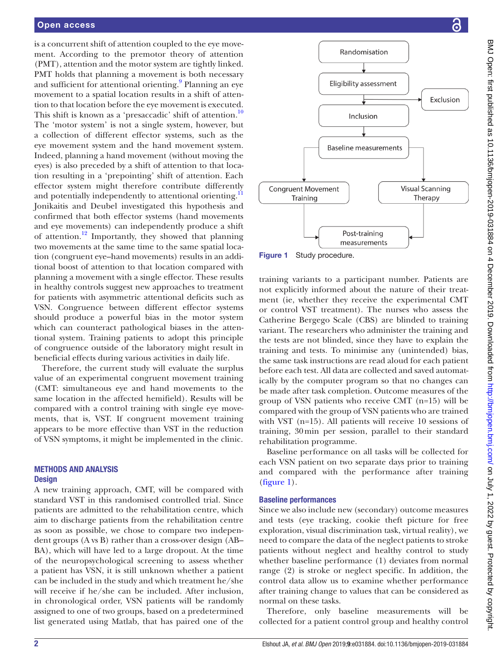is a concurrent shift of attention coupled to the eye movement. According to the premotor theory of attention (PMT), attention and the motor system are tightly linked. PMT holds that planning a movement is both necessary and sufficient for attentional orienting.<sup>9</sup> Planning an eye movement to a spatial location results in a shift of attention to that location before the eye movement is executed. This shift is known as a 'presaccadic' shift of attention.<sup>10</sup> The 'motor system' is not a single system, however, but a collection of different effector systems, such as the eye movement system and the hand movement system. Indeed, planning a hand movement (without moving the eyes) is also preceded by a shift of attention to that location resulting in a 'prepointing' shift of attention. Each effector system might therefore contribute differently and potentially independently to attentional orienting.<sup>1</sup> Jonikaitis and Deubel investigated this hypothesis and confirmed that both effector systems (hand movements and eye movements) can independently produce a shift of attention.<sup>[12](#page-5-8)</sup> Importantly, they showed that planning two movements at the same time to the same spatial location (congruent eye–hand movements) results in an additional boost of attention to that location compared with planning a movement with a single effector. These results in healthy controls suggest new approaches to treatment for patients with asymmetric attentional deficits such as VSN. Congruence between different effector systems should produce a powerful bias in the motor system which can counteract pathological biases in the attentional system. Training patients to adopt this principle of congruence outside of the laboratory might result in beneficial effects during various activities in daily life.

Therefore, the current study will evaluate the surplus value of an experimental congruent movement training (CMT: simultaneous eye and hand movements to the same location in the affected hemifield). Results will be compared with a control training with single eye movements, that is, VST. If congruent movement training appears to be more effective than VST in the reduction of VSN symptoms, it might be implemented in the clinic.

#### Methods and analysis **Design**

A new training approach, CMT, will be compared with standard VST in this randomised controlled trial. Since patients are admitted to the rehabilitation centre, which aim to discharge patients from the rehabilitation centre as soon as possible, we chose to compare two independent groups (A vs B) rather than a cross-over design (AB– BA), which will have led to a large dropout. At the time of the neuropsychological screening to assess whether a patient has VSN, it is still unknown whether a patient can be included in the study and which treatment he/she will receive if he/she can be included. After inclusion, in chronological order, VSN patients will be randomly assigned to one of two groups, based on a predetermined list generated using Matlab, that has paired one of the



<span id="page-1-0"></span>Figure 1 Study procedure.

training variants to a participant number. Patients are not explicitly informed about the nature of their treatment (ie, whether they receive the experimental CMT or control VST treatment). The nurses who assess the Catherine Bergego Scale (CBS) are blinded to training variant. The researchers who administer the training and the tests are not blinded, since they have to explain the training and tests. To minimise any (unintended) bias, the same task instructions are read aloud for each patient before each test. All data are collected and saved automatically by the computer program so that no changes can be made after task completion. Outcome measures of the group of VSN patients who receive CMT (n=15) will be compared with the group of VSN patients who are trained with VST (n=15). All patients will receive 10 sessions of training, 30min per session, parallel to their standard rehabilitation programme.

Baseline performance on all tasks will be collected for each VSN patient on two separate days prior to training and compared with the performance after training [\(figure](#page-1-0) 1).

# Baseline performances

Since we also include new (secondary) outcome measures and tests (eye tracking, cookie theft picture for free exploration, visual discrimination task, virtual reality), we need to compare the data of the neglect patients to stroke patients without neglect and healthy control to study whether baseline performance (1) deviates from normal range (2) is stroke or neglect specific. In addition, the control data allow us to examine whether performance after training change to values that can be considered as normal on these tasks.

Therefore, only baseline measurements will be collected for a patient control group and healthy control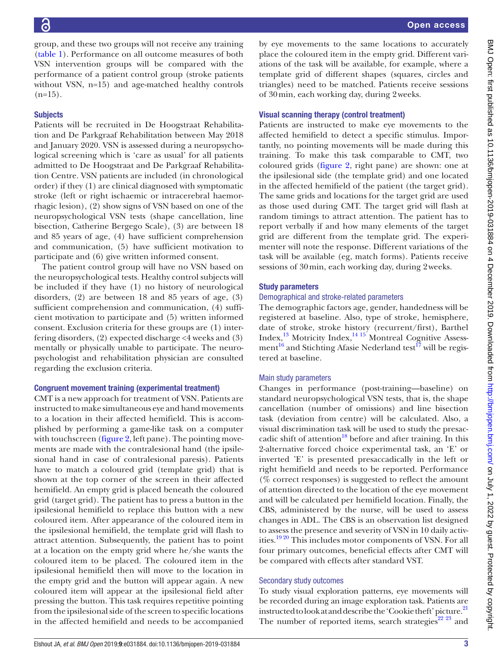group, and these two groups will not receive any training ([table](#page-3-0) 1). Performance on all outcome measures of both VSN intervention groups will be compared with the performance of a patient control group (stroke patients without VSN, n=15) and age-matched healthy controls  $(n=15)$ .

### **Subjects**

Patients will be recruited in De Hoogstraat Rehabilitation and De Parkgraaf Rehabilitation between May 2018 and January 2020. VSN is assessed during a neuropsychological screening which is 'care as usual' for all patients admitted to De Hoogstraat and De Parkgraaf Rehabilitation Centre. VSN patients are included (in chronological order) if they (1) are clinical diagnosed with symptomatic stroke (left or right ischaemic or intracerebral haemorrhagic lesion), (2) show signs of VSN based on one of the neuropsychological VSN tests (shape cancellation, line bisection, Catherine Bergego Scale), (3) are between 18 and 85 years of age, (4) have sufficient comprehension and communication, (5) have sufficient motivation to participate and (6) give written informed consent.

The patient control group will have no VSN based on the neuropsychological tests. Healthy control subjects will be included if they have (1) no history of neurological disorders, (2) are between 18 and 85 years of age, (3) sufficient comprehension and communication, (4) sufficient motivation to participate and (5) written informed consent. Exclusion criteria for these groups are (1) interfering disorders, (2) expected discharge <4 weeks and (3) mentally or physically unable to participate. The neuropsychologist and rehabilitation physician are consulted regarding the exclusion criteria.

#### Congruent movement training (experimental treatment)

CMT is a new approach for treatment of VSN. Patients are instructed to make simultaneous eye and hand movements to a location in their affected hemifield. This is accomplished by performing a game-like task on a computer with touchscreen [\(figure](#page-4-0) 2, left pane). The pointing movements are made with the contralesional hand (the ipsilesional hand in case of contralesional paresis). Patients have to match a coloured grid (template grid) that is shown at the top corner of the screen in their affected hemifield. An empty grid is placed beneath the coloured grid (target grid). The patient has to press a button in the ipsilesional hemifield to replace this button with a new coloured item. After appearance of the coloured item in the ipsilesional hemifield, the template grid will flash to attract attention. Subsequently, the patient has to point at a location on the empty grid where he/she wants the coloured item to be placed. The coloured item in the ipsilesional hemifield then will move to the location in the empty grid and the button will appear again. A new coloured item will appear at the ipsilesional field after pressing the button. This task requires repetitive pointing from the ipsilesional side of the screen to specific locations in the affected hemifield and needs to be accompanied

by eye movements to the same locations to accurately place the coloured item in the empty grid. Different variations of the task will be available, for example, where a template grid of different shapes (squares, circles and triangles) need to be matched. Patients receive sessions of 30min, each working day, during 2weeks.

#### Visual scanning therapy (control treatment)

Patients are instructed to make eye movements to the affected hemifield to detect a specific stimulus. Importantly, no pointing movements will be made during this training. To make this task comparable to CMT, two coloured grids [\(figure](#page-4-0) 2, right pane) are shown: one at the ipsilesional side (the template grid) and one located in the affected hemifield of the patient (the target grid). The same grids and locations for the target grid are used as those used during CMT. The target grid will flash at random timings to attract attention. The patient has to report verbally if and how many elements of the target grid are different from the template grid. The experimenter will note the response. Different variations of the task will be available (eg, match forms). Patients receive sessions of 30min, each working day, during 2weeks.

#### Study parameters

#### Demographical and stroke-related parameters

The demographic factors age, gender, handedness will be registered at baseline. Also, type of stroke, hemisphere, date of stroke, stroke history (recurrent/first), Barthel Index[,13](#page-5-9) Motricity Index,[14 15](#page-5-10) Montreal Cognitive Assessment<sup>16</sup> and Stichting Afasie Nederland test<sup>17</sup> will be registered at baseline.

### Main study parameters

Changes in performance (post-training—baseline) on standard neuropsychological VSN tests, that is, the shape cancellation (number of omissions) and line bisection task (deviation from centre) will be calculated. Also, a visual discrimination task will be used to study the presaccadic shift of attention<sup>18</sup> before and after training. In this 2-alternative forced choice experimental task, an 'E' or inverted 'E' is presented presaccadically in the left or right hemifield and needs to be reported. Performance (% correct responses) is suggested to reflect the amount of attention directed to the location of the eye movement and will be calculated per hemifield location. Finally, the CBS, administered by the nurse, will be used to assess changes in ADL. The CBS is an observation list designed to assess the presence and severity of VSN in 10 daily activities.[19 20](#page-5-14) This includes motor components of VSN. For all four primary outcomes, beneficial effects after CMT will be compared with effects after standard VST.

#### Secondary study outcomes

To study visual exploration patterns, eye movements will be recorded during an image exploration task. Patients are instructed to look at and describe the 'Cookie theft' picture.<sup>21</sup> The number of reported items, search strategies<sup>22 23</sup> and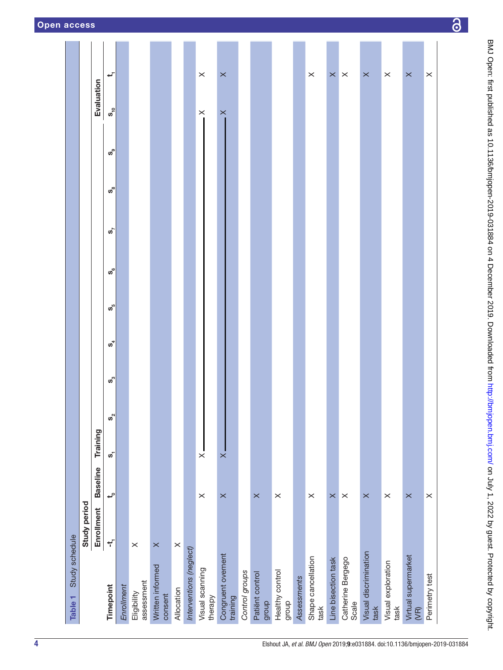<span id="page-3-0"></span>

| Study schedule<br>Table 1     |                       |                       |          |                      |    |    |    |    |    |            |                       |
|-------------------------------|-----------------------|-----------------------|----------|----------------------|----|----|----|----|----|------------|-----------------------|
|                               | Study period          |                       |          |                      |    |    |    |    |    |            |                       |
|                               | Enrollment            | <b>Baseline</b>       | Training |                      |    |    |    |    |    | Evaluation |                       |
| Timepoint                     | $\overline{\tau}$     | م⊾                    | ທິ<br>ທັ | $\mathbf{v}_4$<br>ທຶ | ທັ | ທຶ | ທ້ | ທຶ | ທຶ | $S_{10}$   | ت                     |
| Enrollment                    |                       |                       |          |                      |    |    |    |    |    |            |                       |
| assessment<br>Eligibility     | $\boldsymbol{\times}$ |                       |          |                      |    |    |    |    |    |            |                       |
| Written informed<br>consent   | $\times$              |                       |          |                      |    |    |    |    |    |            |                       |
| Allocation                    | $\times$              |                       |          |                      |    |    |    |    |    |            |                       |
| Interventions (neglect)       |                       |                       |          |                      |    |    |    |    |    |            |                       |
| Visual scanning<br>therapy    |                       | $\times$              | $\times$ |                      |    |    |    |    |    | $\times$   | $\boldsymbol{\times}$ |
| Congruent ovement<br>training |                       | $\pmb{\times}$        | $\times$ |                      |    |    |    |    |    | $\times$   | $\times$              |
| Control groups                |                       |                       |          |                      |    |    |    |    |    |            |                       |
| Patiënt control<br>dronb      |                       | $\pmb{\times}$        |          |                      |    |    |    |    |    |            |                       |
| Healthy control<br>dioub      |                       | $\boldsymbol{\times}$ |          |                      |    |    |    |    |    |            |                       |
| Assessments                   |                       |                       |          |                      |    |    |    |    |    |            |                       |
| Shape cancellation<br>task    |                       | $\boldsymbol{\times}$ |          |                      |    |    |    |    |    |            | $\times$              |
| Line bisection task           |                       | $\pmb{\times}$        |          |                      |    |    |    |    |    |            | $\times$ $\times$     |
| Catherine Bergego<br>Scale    |                       | $\times$              |          |                      |    |    |    |    |    |            |                       |
| Visual discrimination<br>task |                       | $\pmb{\times}$        |          |                      |    |    |    |    |    |            | $\pmb{\times}$        |
| Visual exploration<br>task    |                       | $\times$              |          |                      |    |    |    |    |    |            | $\boldsymbol{\times}$ |
| Virtual supermarket<br>(VR)   |                       | $\pmb{\times}$        |          |                      |    |    |    |    |    |            | $\pmb{\times}$        |
| Perimetry test                |                       | $\times$              |          |                      |    |    |    |    |    |            | $\times$              |
|                               |                       |                       |          |                      |    |    |    |    |    |            |                       |

 $\overline{\partial}$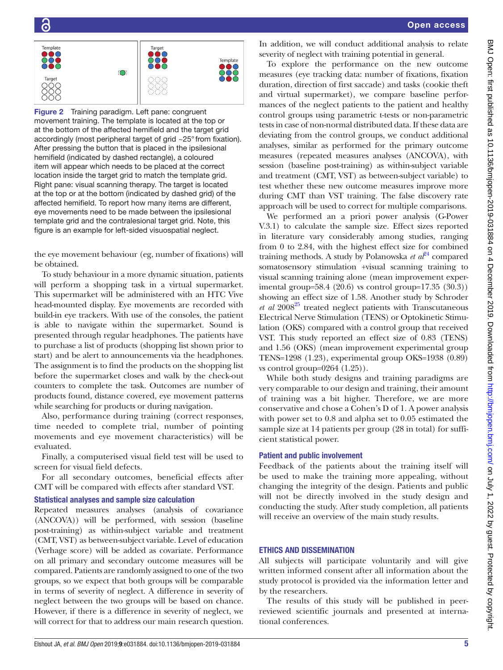

<span id="page-4-0"></span>Figure 2 Training paradigm. Left pane: congruent movement training. The template is located at the top or at the bottom of the affected hemifield and the target grid accordingly (most peripheral target of grid ~25° from fixation). After pressing the button that is placed in the ipsilesional hemifield (indicated by dashed rectangle), a coloured item will appear which needs to be placed at the correct location inside the target grid to match the template grid. Right pane: visual scanning therapy. The target is located at the top or at the bottom (indicated by dashed grid) of the affected hemifield. To report how many items are different, eye movements need to be made between the ipsilesional template grid and the contralesional target grid. Note, this figure is an example for left-sided visuospatial neglect.

the eye movement behaviour (eg, number of fixations) will be obtained.

To study behaviour in a more dynamic situation, patients will perform a shopping task in a virtual supermarket. This supermarket will be administered with an HTC Vive head-mounted display. Eye movements are recorded with build-in eye trackers. With use of the consoles, the patient is able to navigate within the supermarket. Sound is presented through regular headphones. The patients have to purchase a list of products (shopping list shown prior to start) and be alert to announcements via the headphones. The assignment is to find the products on the shopping list before the supermarket closes and walk by the check-out counters to complete the task. Outcomes are number of products found, distance covered, eye movement patterns while searching for products or during navigation.

Also, performance during training (correct responses, time needed to complete trial, number of pointing movements and eye movement characteristics) will be evaluated.

Finally, a computerised visual field test will be used to screen for visual field defects.

For all secondary outcomes, beneficial effects after CMT will be compared with effects after standard VST.

### Statistical analyses and sample size calculation

Repeated measures analyses (analysis of covariance (ANCOVA)) will be performed, with session (baseline post-training) as within-subject variable and treatment (CMT, VST) as between-subject variable. Level of education (Verhage score) will be added as covariate. Performance on all primary and secondary outcome measures will be compared. Patients are randomly assigned to one of the two groups, so we expect that both groups will be comparable in terms of severity of neglect. A difference in severity of neglect between the two groups will be based on chance. However, if there is a difference in severity of neglect, we will correct for that to address our main research question.

In addition, we will conduct additional analysis to relate severity of neglect with training potential in general.

To explore the performance on the new outcome measures (eye tracking data: number of fixations, fixation duration, direction of first saccade) and tasks (cookie theft and virtual supermarket), we compare baseline performances of the neglect patients to the patient and healthy control groups using parametric t-tests or non-parametric tests in case of non-normal distributed data. If these data are deviating from the control groups, we conduct additional analyses, similar as performed for the primary outcome measures (repeated measures analyses (ANCOVA), with session (baseline post-training) as within-subject variable and treatment (CMT, VST) as between-subject variable) to test whether these new outcome measures improve more during CMT than VST training. The false discovery rate approach will be used to correct for multiple comparisons.

We performed an a priori power analysis (G-Power V.3.1) to calculate the sample size. Effect sizes reported in literature vary considerably among studies, ranging from 0 to 2.84, with the highest effect size for combined training methods. A study by Polanowska *et*  $a^{24}$  $a^{24}$  $a^{24}$  compared somatosensory stimulation +visual scanning training to visual scanning training alone (mean improvement experimental group=58.4 (20.6) vs control group=17.35 (30.3)) showing an effect size of 1.58. Another study by Schroder *et al* 2008[25](#page-5-18) treated neglect patients with Transcutaneous Electrical Nerve Stimulation (TENS) or Optokinetic Stimulation (OKS) compared with a control group that received VST. This study reported an effect size of 0.83 (TENS) and 1.56 (OKS) (mean improvement experimental group TENS=1298 (1.23), experimental group OKS=1938 (0.89) vs control group=0264 (1.25)).

While both study designs and training paradigms are very comparable to our design and training, their amount of training was a bit higher. Therefore, we are more conservative and chose a Cohen's D of 1. A power analysis with power set to 0.8 and alpha set to 0.05 estimated the sample size at 14 patients per group (28 in total) for sufficient statistical power.

### Patient and public involvement

Feedback of the patients about the training itself will be used to make the training more appealing, without changing the integrity of the design. Patients and public will not be directly involved in the study design and conducting the study. After study completion, all patients will receive an overview of the main study results.

### Ethics and dissemination

All subjects will participate voluntarily and will give written informed consent after all information about the study protocol is provided via the information letter and by the researchers.

The results of this study will be published in peerreviewed scientific journals and presented at international conferences.